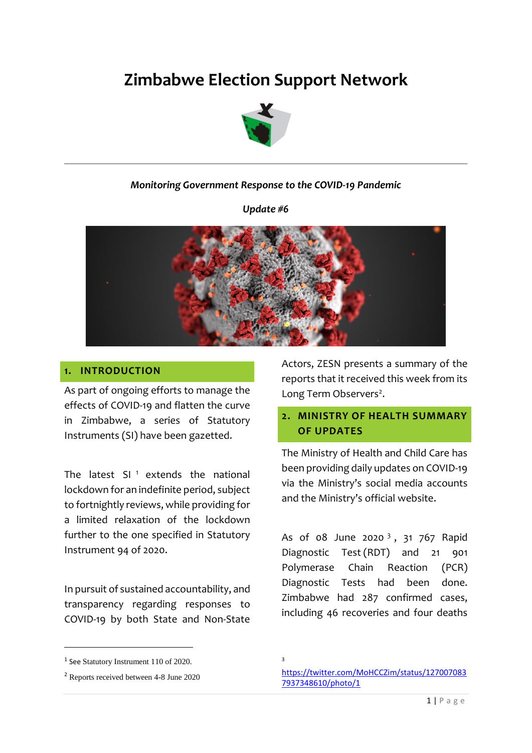# **Zimbabwe Election Support Network**



#### *Monitoring Government Response to the COVID-19 Pandemic*

*Update #6*



#### **1. INTRODUCTION**

As part of ongoing efforts to manage the effects of COVID-19 and flatten the curve in Zimbabwe, a series of Statutory Instruments (SI) have been gazetted.

The latest  $SI$ <sup>1</sup> extends the national lockdown for an indefinite period, subject to fortnightly reviews, while providing for a limited relaxation of the lockdown further to the one specified in Statutory Instrument 94 of 2020.

In pursuit of sustained accountability, and transparency regarding responses to COVID-19 by both State and Non-State

1 See Statutory Instrument 110 of 2020.

1

Actors, ZESN presents a summary of the reports that it received this week from its Long Term Observers<sup>2</sup>.

### **2. MINISTRY OF HEALTH SUMMARY OF UPDATES**

The Ministry of Health and Child Care has been providing daily updates on COVID-19 via the Ministry's social media accounts and the Ministry's official website.

As of 08 June 2020<sup>3</sup>, 31 767 Rapid Diagnostic Test (RDT) and 21 901 Polymerase Chain Reaction (PCR) Diagnostic Tests had been done. Zimbabwe had 287 confirmed cases, including 46 recoveries and four deaths

<sup>2</sup> Reports received between 4-8 June 2020

<sup>3</sup>

[https://twitter.com/MoHCCZim/status/127007083](https://twitter.com/MoHCCZim/status/1270070837937348610/photo/1) [7937348610/photo/1](https://twitter.com/MoHCCZim/status/1270070837937348610/photo/1)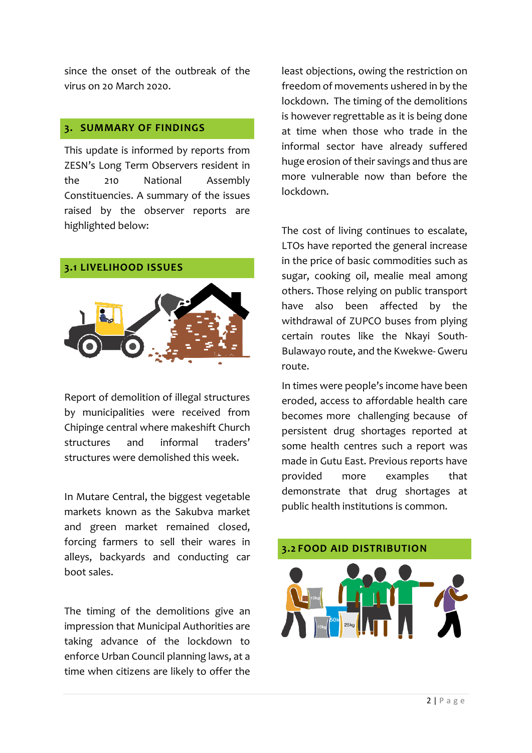since the onset of the outbreak of the virus on 20 March 2020.

#### **3. SUMMARY OF FINDINGS**

This update is informed by reports from ZESN's Long Term Observers resident in the 210 National Assembly Constituencies. A summary of the issues raised by the observer reports are highlighted below:

**3.1 LIVELIHOOD ISSUES** 



Report of demolition of illegal structures by municipalities were received from Chipinge central where makeshift Church structures and informal traders' structures were demolished this week.

In Mutare Central, the biggest vegetable markets known as the Sakubva market and green market remained closed, forcing farmers to sell their wares in alleys, backyards and conducting car boot sales.

The timing of the demolitions give an impression that Municipal Authorities are taking advance of the lockdown to enforce Urban Council planning laws, at a time when citizens are likely to offer the

least objections, owing the restriction on freedom of movements ushered in by the lockdown. The timing of the demolitions is however regrettable as it is being done at time when those who trade in the informal sector have already suffered huge erosion of their savings and thus are more vulnerable now than before the lockdown.

The cost of living continues to escalate, LTOs have reported the general increase in the price of basic commodities such as sugar, cooking oil, mealie meal among others. Those relying on public transport have also been affected by the withdrawal of ZUPCO buses from plying certain routes like the Nkayi South-Bulawayo route, and the Kwekwe- Gweru route.

In times were people's income have been eroded, access to affordable health care becomes more challenging because of persistent drug shortages reported at some health centres such a report was made in Gutu East. Previous reports have provided more examples that demonstrate that drug shortages at public health institutions is common.

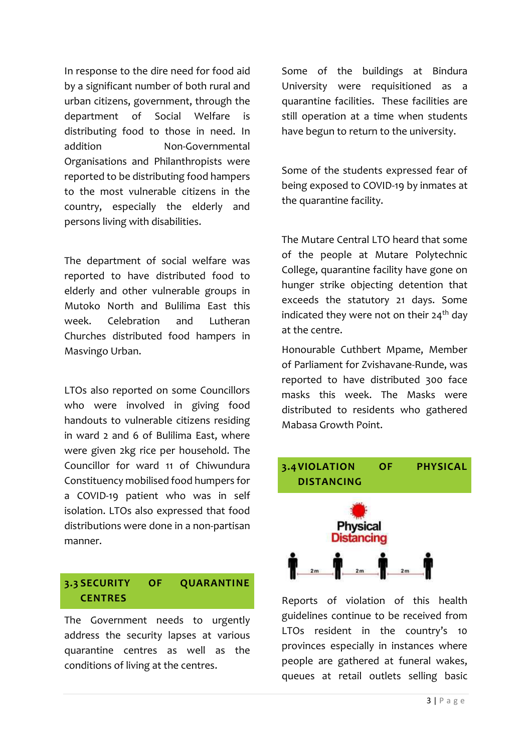In response to the dire need for food aid by a significant number of both rural and urban citizens, government, through the department of Social Welfare is distributing food to those in need. In addition Non-Governmental Organisations and Philanthropists were reported to be distributing food hampers to the most vulnerable citizens in the country, especially the elderly and persons living with disabilities.

The department of social welfare was reported to have distributed food to elderly and other vulnerable groups in Mutoko North and Bulilima East this week. Celebration and Lutheran Churches distributed food hampers in Masvingo Urban.

LTOs also reported on some Councillors who were involved in giving food handouts to vulnerable citizens residing in ward 2 and 6 of Bulilima East, where were given 2kg rice per household. The Councillor for ward 11 of Chiwundura Constituency mobilised food humpers for a COVID-19 patient who was in self isolation. LTOs also expressed that food distributions were done in a non-partisan manner.

# **3.3 SECURITY OF QUARANTINE CENTRES**

The Government needs to urgently address the security lapses at various quarantine centres as well as the conditions of living at the centres.

Some of the buildings at Bindura University were requisitioned as a quarantine facilities. These facilities are still operation at a time when students have begun to return to the university.

Some of the students expressed fear of being exposed to COVID-19 by inmates at the quarantine facility.

The Mutare Central LTO heard that some of the people at Mutare Polytechnic College, quarantine facility have gone on hunger strike objecting detention that exceeds the statutory 21 days. Some indicated they were not on their  $24<sup>th</sup>$  day at the centre.

Honourable Cuthbert Mpame, Member of Parliament for Zvishavane-Runde, was reported to have distributed 300 face masks this week. The Masks were distributed to residents who gathered Mabasa Growth Point.



Reports of violation of this health guidelines continue to be received from LTOs resident in the country's 10 provinces especially in instances where people are gathered at funeral wakes, queues at retail outlets selling basic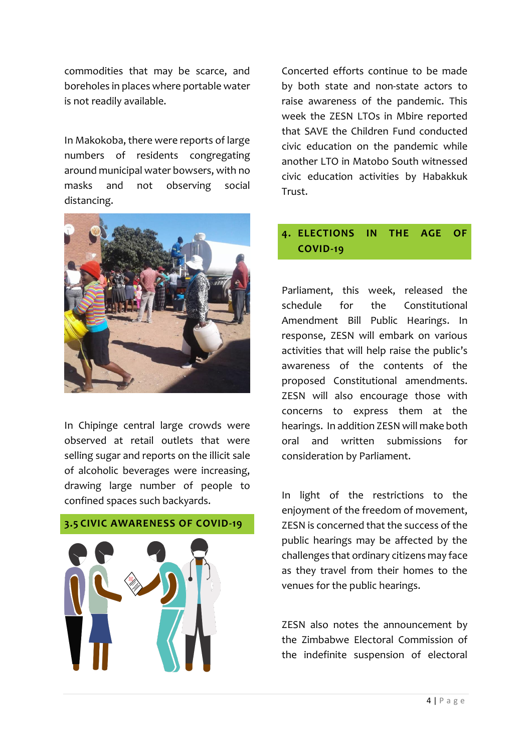commodities that may be scarce, and boreholes in places where portable water is not readily available.

In Makokoba, there were reports of large numbers of residents congregating around municipal water bowsers, with no masks and not observing social distancing.



In Chipinge central large crowds were observed at retail outlets that were selling sugar and reports on the illicit sale of alcoholic beverages were increasing, drawing large number of people to confined spaces such backyards.

**3.5 CIVIC AWARENESS OF COVID-19**

Concerted efforts continue to be made by both state and non-state actors to raise awareness of the pandemic. This week the ZESN LTOs in Mbire reported that SAVE the Children Fund conducted civic education on the pandemic while another LTO in Matobo South witnessed civic education activities by Habakkuk Trust.

# **4. ELECTIONS IN THE AGE OF COVID-19**

Parliament, this week, released the schedule for the Constitutional Amendment Bill Public Hearings. In response, ZESN will embark on various activities that will help raise the public's awareness of the contents of the proposed Constitutional amendments. ZESN will also encourage those with concerns to express them at the hearings. In addition ZESN will make both oral and written submissions for consideration by Parliament.

In light of the restrictions to the enjoyment of the freedom of movement, ZESN is concerned that the success of the public hearings may be affected by the challenges that ordinary citizens may face as they travel from their homes to the venues for the public hearings.

ZESN also notes the announcement by the Zimbabwe Electoral Commission of the indefinite suspension of electoral